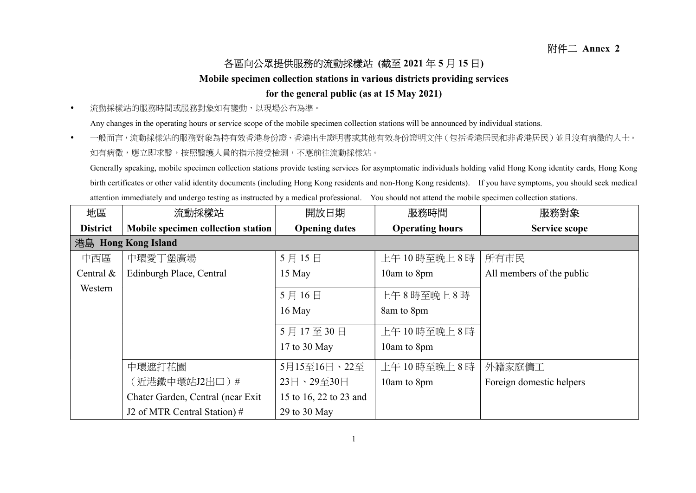## 各區向公眾提供服務的流動採樣站 (截至 2021 年 5 月 15 日)

## Mobile specimen collection stations in various districts providing services

## for the general public (as at 15 May 2021)

流動採樣站的服務時間或服務對象如有變動,以現場公布為準。

Any changes in the operating hours or service scope of the mobile specimen collection stations will be announced by individual stations.

• 一般而言,流動採樣站的服務對象為持有效香港身份證、香港出生證明書或其他有效身份證明文件(包括香港居民和非香港居民)並且沒有病徵的人士。 如有病徵,應立即求醫,按照醫護人員的指示接受檢測,不應前往流動採樣站。

Generally speaking, mobile specimen collection stations provide testing services for asymptomatic individuals holding valid Hong Kong identity cards, Hong Kong birth certificates or other valid identity documents (including Hong Kong residents and non-Hong Kong residents). If you have symptoms, you should seek medical attention immediately and undergo testing as instructed by a medical professional. You should not attend the mobile specimen collection stations.

| 地區              | 流動採樣站                              | 開放日期                   | 服務時間                   | 服務對象                      |
|-----------------|------------------------------------|------------------------|------------------------|---------------------------|
| <b>District</b> | Mobile specimen collection station | <b>Opening dates</b>   | <b>Operating hours</b> | <b>Service scope</b>      |
|                 | 港島 Hong Kong Island                |                        |                        |                           |
| 中西區             | 中環愛丁堡廣場                            | 5月15日                  | 上午10時至晚上8時             | 所有市民                      |
| Central $&$     | Edinburgh Place, Central           | 15 May                 | 10am to 8pm            | All members of the public |
| Western         |                                    | 5月16日                  | 上午8時至晚上8時              |                           |
|                 |                                    | 16 May                 | 8am to 8pm             |                           |
|                 |                                    | 5月17至30日               | 上午10時至晚上8時             |                           |
|                 |                                    | 17 to 30 May           | 10am to 8pm            |                           |
|                 | 中環遮打花園                             | 5月15至16日、22至           | 上午10時至晚上8時             | 外籍家庭傭工                    |
|                 | (近港鐵中環站J2出口)#                      | 23日、29至30日             | 10am to 8pm            | Foreign domestic helpers  |
|                 | Chater Garden, Central (near Exit) | 15 to 16, 22 to 23 and |                        |                           |
|                 | J2 of MTR Central Station) #       | 29 to 30 May           |                        |                           |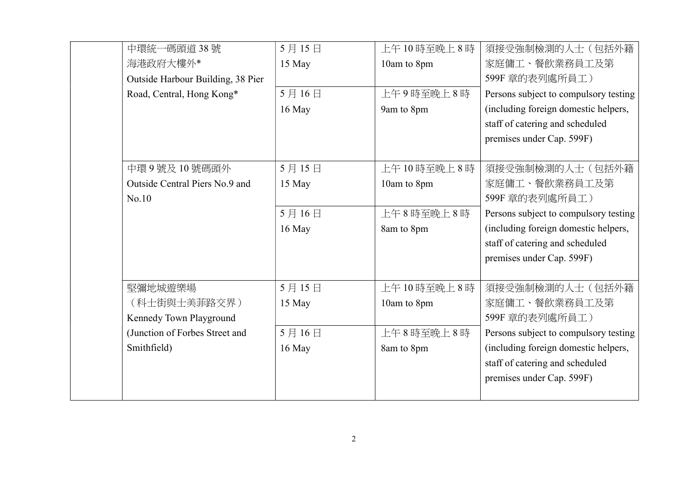| 中環統一碼頭道38號                        | 5月15日    | 上午10時至晚上8時  | 須接受強制檢測的人士(包括外籍                       |
|-----------------------------------|----------|-------------|---------------------------------------|
| 海港政府大樓外*                          | 15 May   | 10am to 8pm | 家庭傭工、餐飲業務員工及第                         |
| Outside Harbour Building, 38 Pier |          |             | 599F 章的表列處所員工)                        |
| Road, Central, Hong Kong*         | 5月16日    | 上午9時至晚上8時   | Persons subject to compulsory testing |
|                                   | $16$ May | 9am to 8pm  | (including foreign domestic helpers,  |
|                                   |          |             | staff of catering and scheduled       |
|                                   |          |             | premises under Cap. 599F)             |
|                                   |          |             |                                       |
| 中環9號及10號碼頭外                       | 5月15日    | 上午10時至晚上8時  | 須接受強制檢測的人士(包括外籍                       |
| Outside Central Piers No.9 and    | 15 May   | 10am to 8pm | 家庭傭工、餐飲業務員工及第                         |
| No.10                             |          |             | 599F 章的表列處所員工)                        |
|                                   | 5月16日    | 上午8時至晚上8時   | Persons subject to compulsory testing |
|                                   | 16 May   | 8am to 8pm  | (including foreign domestic helpers,  |
|                                   |          |             | staff of catering and scheduled       |
|                                   |          |             | premises under Cap. 599F)             |
|                                   |          |             |                                       |
| 堅彌地城遊樂場                           | 5月15日    | 上午10時至晚上8時  | 須接受強制檢測的人士(包括外籍                       |
| (科士街與士美菲路交界)                      | 15 May   | 10am to 8pm | 家庭傭工、餐飲業務員工及第                         |
| Kennedy Town Playground           |          |             | 599F 章的表列處所員工)                        |
| (Junction of Forbes Street and    | 5月16日    | 上午8時至晚上8時   | Persons subject to compulsory testing |
| Smithfield)                       | 16 May   | 8am to 8pm  | (including foreign domestic helpers,  |
|                                   |          |             | staff of catering and scheduled       |
|                                   |          |             | premises under Cap. 599F)             |
|                                   |          |             |                                       |
|                                   |          |             |                                       |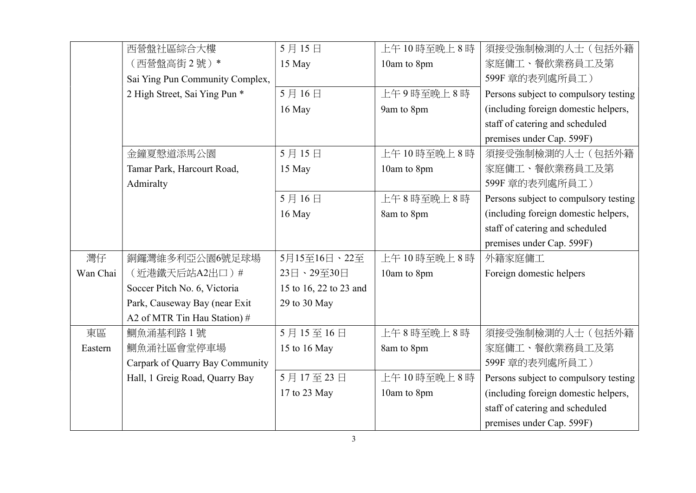|          | 西營盤社區綜合大樓                       | 5月15日                  | 上午10時至晚上8時  | 須接受強制檢測的人士(包括外籍                       |
|----------|---------------------------------|------------------------|-------------|---------------------------------------|
|          | (西營盤高街2號)*                      | 15 May                 | 10am to 8pm | 家庭傭工、餐飲業務員工及第                         |
|          | Sai Ying Pun Community Complex, |                        |             | 599F 章的表列處所員工)                        |
|          | 2 High Street, Sai Ying Pun *   | 5月16日                  | 上午9時至晚上8時   | Persons subject to compulsory testing |
|          |                                 | 16 May                 | 9am to 8pm  | (including foreign domestic helpers,  |
|          |                                 |                        |             | staff of catering and scheduled       |
|          |                                 |                        |             |                                       |
|          |                                 |                        |             | premises under Cap. 599F)             |
|          | 金鐘夏慤道添馬公園                       | 5月15日                  | 上午10時至晚上8時  | 須接受強制檢測的人士(包括外籍                       |
|          | Tamar Park, Harcourt Road,      | 15 May                 | 10am to 8pm | 家庭傭工、餐飲業務員工及第                         |
|          | Admiralty                       |                        |             | 599F 章的表列處所員工)                        |
|          |                                 | 5月16日                  | 上午8時至晚上8時   | Persons subject to compulsory testing |
|          |                                 | 16 May                 | 8am to 8pm  | (including foreign domestic helpers,  |
|          |                                 |                        |             | staff of catering and scheduled       |
|          |                                 |                        |             | premises under Cap. 599F)             |
| 灣仔       | 銅鑼灣維多利亞公園6號足球場                  | 5月15至16日、22至           | 上午10時至晚上8時  | 外籍家庭傭工                                |
| Wan Chai | (近港鐵天后站A2出口)#                   | 23日、29至30日             | 10am to 8pm | Foreign domestic helpers              |
|          | Soccer Pitch No. 6, Victoria    | 15 to 16, 22 to 23 and |             |                                       |
|          | Park, Causeway Bay (near Exit)  | 29 to 30 May           |             |                                       |
|          | A2 of MTR Tin Hau Station) #    |                        |             |                                       |
| 東區       | 鰂魚涌基利路1號                        | 5月15至16日               | 上午8時至晚上8時   | 須接受強制檢測的人士(包括外籍                       |
| Eastern  | 鰂魚涌社區會堂停車場                      | 15 to 16 May           | 8am to 8pm  | 家庭傭工、餐飲業務員工及第                         |
|          | Carpark of Quarry Bay Community |                        |             | 599F 章的表列處所員工)                        |
|          | Hall, 1 Greig Road, Quarry Bay  | 5月17至23日               | 上午10時至晚上8時  | Persons subject to compulsory testing |
|          |                                 | 17 to 23 May           | 10am to 8pm | (including foreign domestic helpers,  |
|          |                                 |                        |             | staff of catering and scheduled       |
|          |                                 |                        |             | premises under Cap. 599F)             |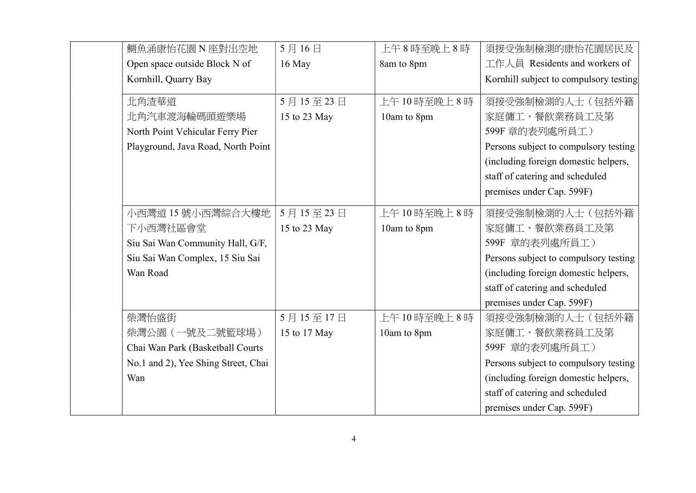| 鰂魚涌康怡花園 N 座對出空地                     | 5月16日        | 上午8時至晚上8時   | 須接受強制檢測的康怡花園居民及                        |
|-------------------------------------|--------------|-------------|----------------------------------------|
| Open space outside Block N of       | 16 May       | 8am to 8pm  | 工作人員 Residents and workers of          |
| Kornhill, Quarry Bay                |              |             | Kornhill subject to compulsory testing |
| 北角渣華道                               | 5月15至23日     | 上午10時至晚上8時  | 須接受強制檢測的人士(包括外籍                        |
| 北角汽車渡海輪碼頭遊樂場                        | 15 to 23 May | 10am to 8pm | 家庭傭工、餐飲業務員工及第                          |
| North Point Vehicular Ferry Pier    |              |             | 599F 章的表列處所員工)                         |
| Playground, Java Road, North Point  |              |             | Persons subject to compulsory testing  |
|                                     |              |             | (including foreign domestic helpers,   |
|                                     |              |             | staff of catering and scheduled        |
|                                     |              |             | premises under Cap. 599F)              |
| 小西灣道 15 號小西灣綜合大樓地                   | 5月15至23日     | 上午10時至晚上8時  | 須接受強制檢測的人士(包括外籍                        |
| 下小西灣社區會堂                            | 15 to 23 May | 10am to 8pm | 家庭傭工、餐飲業務員工及第                          |
| Siu Sai Wan Community Hall, G/F,    |              |             | 599F 章的表列處所員工)                         |
| Siu Sai Wan Complex, 15 Siu Sai     |              |             | Persons subject to compulsory testing  |
| Wan Road                            |              |             | (including foreign domestic helpers,   |
|                                     |              |             | staff of catering and scheduled        |
|                                     |              |             | premises under Cap. 599F)              |
| 柴灣怡盛街                               | 5月15至17日     | 上午10時至晚上8時  | 須接受強制檢測的人士(包括外籍                        |
| 柴灣公園(一號及二號籃球場)                      | 15 to 17 May | 10am to 8pm | 家庭傭工、餐飲業務員工及第                          |
| Chai Wan Park (Basketball Courts    |              |             | 599F 章的表列處所員工)                         |
| No.1 and 2), Yee Shing Street, Chai |              |             | Persons subject to compulsory testing  |
| Wan                                 |              |             | (including foreign domestic helpers,   |
|                                     |              |             | staff of catering and scheduled        |
|                                     |              |             | premises under Cap. 599F)              |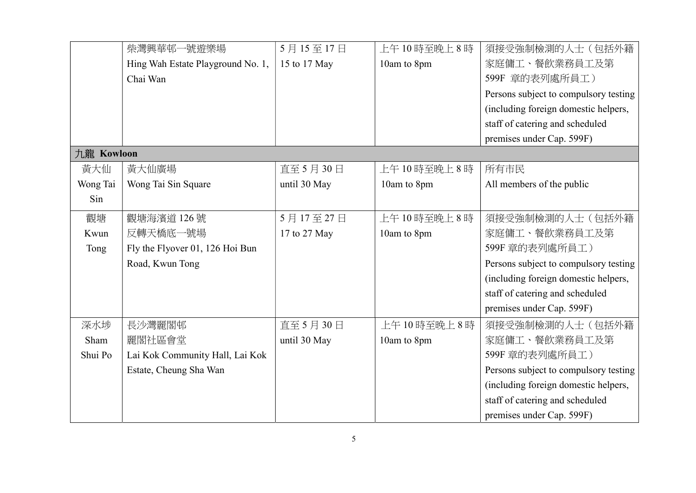|            | 柴灣興華邨一號遊樂場                        | 5月15至17日     | 上午10時至晚上8時  | 須接受強制檢測的人士(包括外籍                       |
|------------|-----------------------------------|--------------|-------------|---------------------------------------|
|            | Hing Wah Estate Playground No. 1, | 15 to 17 May | 10am to 8pm | 家庭傭工、餐飲業務員工及第                         |
|            | Chai Wan                          |              |             | 599F 章的表列處所員工)                        |
|            |                                   |              |             | Persons subject to compulsory testing |
|            |                                   |              |             | (including foreign domestic helpers,  |
|            |                                   |              |             | staff of catering and scheduled       |
|            |                                   |              |             | premises under Cap. 599F)             |
| 九龍 Kowloon |                                   |              |             |                                       |
| 黃大仙        | 黃大仙廣場                             | 直至 5月 30日    | 上午10時至晚上8時  | 所有市民                                  |
| Wong Tai   | Wong Tai Sin Square               | until 30 May | 10am to 8pm | All members of the public             |
| Sin        |                                   |              |             |                                       |
| 觀塘         | 觀塘海濱道126號                         | 5月17至27日     | 上午10時至晚上8時  | 須接受強制檢測的人士(包括外籍                       |
| Kwun       | 反轉天橋底一號場                          | 17 to 27 May | 10am to 8pm | 家庭傭工、餐飲業務員工及第                         |
| Tong       | Fly the Flyover 01, 126 Hoi Bun   |              |             | 599F 章的表列處所員工)                        |
|            | Road, Kwun Tong                   |              |             | Persons subject to compulsory testing |
|            |                                   |              |             | (including foreign domestic helpers,  |
|            |                                   |              |             | staff of catering and scheduled       |
|            |                                   |              |             | premises under Cap. 599F)             |
| 深水埗        | 長沙灣麗閣邨                            | 直至 5月 30日    | 上午10時至晚上8時  | 須接受強制檢測的人士(包括外籍                       |
| Sham       | 麗閣社區會堂                            | until 30 May | 10am to 8pm | 家庭傭工、餐飲業務員工及第                         |
| Shui Po    | Lai Kok Community Hall, Lai Kok   |              |             | 599F 章的表列處所員工)                        |
|            | Estate, Cheung Sha Wan            |              |             | Persons subject to compulsory testing |
|            |                                   |              |             | (including foreign domestic helpers,  |
|            |                                   |              |             | staff of catering and scheduled       |
|            |                                   |              |             | premises under Cap. 599F)             |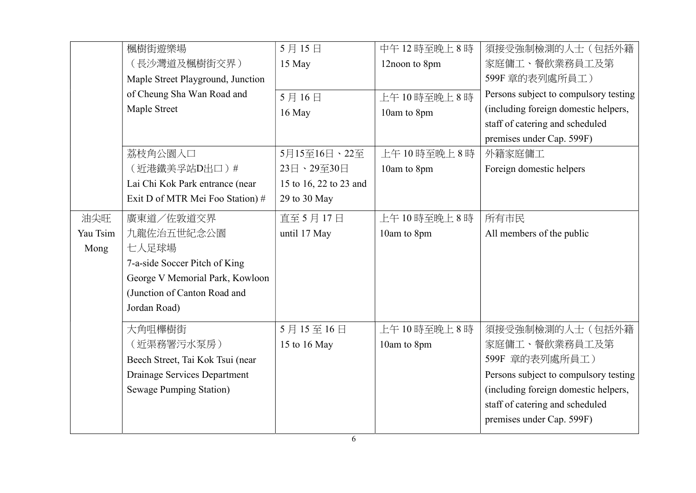|          | 楓樹街遊樂場                            | 5月15日                  | 中午12時至晚上8時    | 須接受強制檢測的人士(包括外籍                       |
|----------|-----------------------------------|------------------------|---------------|---------------------------------------|
|          | (長沙灣道及楓樹街交界)                      | 15 May                 | 12noon to 8pm | 家庭傭工、餐飲業務員工及第                         |
|          | Maple Street Playground, Junction |                        |               | 599F 章的表列處所員工)                        |
|          | of Cheung Sha Wan Road and        | 5月16日                  | 上午10時至晚上8時    | Persons subject to compulsory testing |
|          | Maple Street                      | 16 May                 | 10am to 8pm   | (including foreign domestic helpers,  |
|          |                                   |                        |               | staff of catering and scheduled       |
|          |                                   |                        |               | premises under Cap. 599F)             |
|          | 荔枝角公園入口                           | 5月15至16日、22至           | 上午10時至晚上8時    | 外籍家庭傭工                                |
|          | (近港鐵美孚站D出口)#                      | 23日、29至30日             | 10am to 8pm   | Foreign domestic helpers              |
|          | Lai Chi Kok Park entrance (near   | 15 to 16, 22 to 23 and |               |                                       |
|          | Exit D of MTR Mei Foo Station) #  | 29 to 30 May           |               |                                       |
| 油尖旺      | 廣東道/佐敦道交界                         | 直至 5月17日               | 上午10時至晚上8時    | 所有市民                                  |
| Yau Tsim | 九龍佐治五世紀念公園                        | until 17 May           | 10am to 8pm   | All members of the public             |
| Mong     | 七人足球場                             |                        |               |                                       |
|          | 7-a-side Soccer Pitch of King     |                        |               |                                       |
|          | George V Memorial Park, Kowloon   |                        |               |                                       |
|          | (Junction of Canton Road and      |                        |               |                                       |
|          | Jordan Road)                      |                        |               |                                       |
|          | 大角咀櫸樹街                            | 5月15至16日               | 上午10時至晚上8時    | 須接受強制檢測的人士(包括外籍                       |
|          | (近渠務署污水泵房)                        | 15 to 16 May           | 10am to 8pm   | 家庭傭工、餐飲業務員工及第                         |
|          | Beech Street, Tai Kok Tsui (near  |                        |               | 599F 章的表列處所員工)                        |
|          | Drainage Services Department      |                        |               | Persons subject to compulsory testing |
|          | Sewage Pumping Station)           |                        |               | (including foreign domestic helpers,  |
|          |                                   |                        |               | staff of catering and scheduled       |
|          |                                   |                        |               | premises under Cap. 599F)             |
|          |                                   |                        |               |                                       |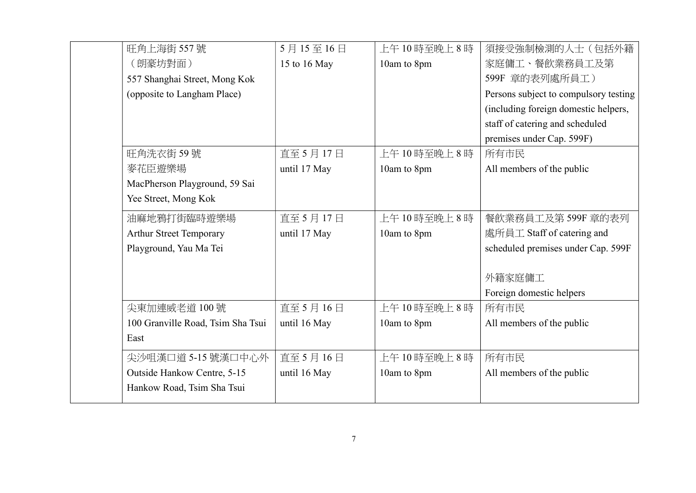| 旺角上海街 557號                        | 5月15至16日     | 上午10時至晚上8時  | 須接受強制檢測的人士(包括外籍                       |
|-----------------------------------|--------------|-------------|---------------------------------------|
| (朗豪坊對面)                           | 15 to 16 May | 10am to 8pm | 家庭傭工、餐飲業務員工及第                         |
| 557 Shanghai Street, Mong Kok     |              |             | 599F 章的表列處所員工)                        |
| (opposite to Langham Place)       |              |             | Persons subject to compulsory testing |
|                                   |              |             | (including foreign domestic helpers,  |
|                                   |              |             | staff of catering and scheduled       |
|                                   |              |             | premises under Cap. 599F)             |
| 旺角洗衣街59號                          | 直至 5月17日     | 上午10時至晚上8時  | 所有市民                                  |
| 麥花臣遊樂場                            | until 17 May | 10am to 8pm | All members of the public             |
| MacPherson Playground, 59 Sai     |              |             |                                       |
| Yee Street, Mong Kok              |              |             |                                       |
| 油麻地鴉打街臨時遊樂場                       | 直至 5月17日     | 上午10時至晩上8時  | 餐飲業務員工及第599F 章的表列                     |
| <b>Arthur Street Temporary</b>    | until 17 May | 10am to 8pm | 處所員工 Staff of catering and            |
| Playground, Yau Ma Tei            |              |             | scheduled premises under Cap. 599F    |
|                                   |              |             |                                       |
|                                   |              |             | 外籍家庭傭工                                |
|                                   |              |             | Foreign domestic helpers              |
| 尖東加連威老道 100號                      | 直至 5月16日     | 上午10時至晚上8時  | 所有市民                                  |
| 100 Granville Road, Tsim Sha Tsui | until 16 May | 10am to 8pm | All members of the public             |
| East                              |              |             |                                       |
| 尖沙咀漢口道 5-15 號漢口中心外                | 直至 5月16日     | 上午10時至晚上8時  | 所有市民                                  |
| Outside Hankow Centre, 5-15       | until 16 May | 10am to 8pm | All members of the public             |
| Hankow Road, Tsim Sha Tsui        |              |             |                                       |
|                                   |              |             |                                       |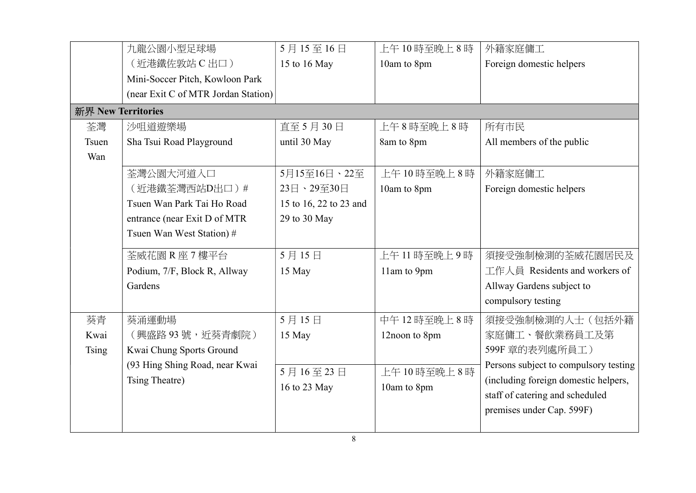|                    | 九龍公園小型足球場                           | 5月15至16日               | 上午10時至晚上8時    | 外籍家庭傭工                                |
|--------------------|-------------------------------------|------------------------|---------------|---------------------------------------|
|                    | (近港鐵佐敦站 C 出口)                       | 15 to 16 May           | 10am to 8pm   | Foreign domestic helpers              |
|                    | Mini-Soccer Pitch, Kowloon Park     |                        |               |                                       |
|                    | (near Exit C of MTR Jordan Station) |                        |               |                                       |
| 新界 New Territories |                                     |                        |               |                                       |
| 荃灣                 | 沙咀道遊樂場                              | 直至 5月 30日              | 上午8時至晚上8時     | 所有市民                                  |
| Tsuen              | Sha Tsui Road Playground            | until 30 May           | 8am to 8pm    | All members of the public             |
| Wan                |                                     |                        |               |                                       |
|                    | 荃灣公園大河道入口                           | 5月15至16日、22至           | 上午10時至晚上8時    | 外籍家庭傭工                                |
|                    | (近港鐵荃灣西站D出口)#                       | 23日、29至30日             | 10am to 8pm   | Foreign domestic helpers              |
|                    | Tsuen Wan Park Tai Ho Road          | 15 to 16, 22 to 23 and |               |                                       |
|                    | entrance (near Exit D of MTR        | 29 to 30 May           |               |                                       |
|                    | Tsuen Wan West Station) #           |                        |               |                                       |
|                    | 荃威花園 R 座 7 樓平台                      | 5月15日                  | 上午11時至晚上9時    | 須接受強制檢測的荃威花園居民及                       |
|                    | Podium, 7/F, Block R, Allway        | 15 May                 | 11am to 9pm   | 工作人員 Residents and workers of         |
|                    | Gardens                             |                        |               | Allway Gardens subject to             |
|                    |                                     |                        |               | compulsory testing                    |
| 葵青                 | 葵涌運動場                               | 5月15日                  | 中午12時至晚上8時    | 須接受強制檢測的人士(包括外籍                       |
| Kwai               | (興盛路93號,近葵青劇院)                      | 15 May                 | 12noon to 8pm | 家庭傭工、餐飲業務員工及第                         |
| <b>Tsing</b>       | Kwai Chung Sports Ground            |                        |               | 599F 章的表列處所員工)                        |
|                    | (93 Hing Shing Road, near Kwai      | 5月16至23日               |               | Persons subject to compulsory testing |
|                    | Tsing Theatre)                      |                        | 上午10時至晚上8時    | (including foreign domestic helpers,  |
|                    |                                     | 16 to 23 May           | 10am to 8pm   | staff of catering and scheduled       |
|                    |                                     |                        |               | premises under Cap. 599F)             |
|                    |                                     |                        |               |                                       |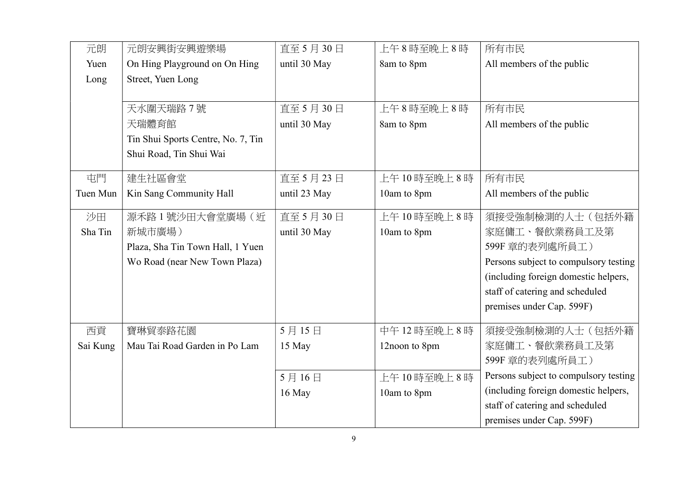| 元朗       | 元朗安興街安興遊樂場                         | 直至 5月 30日    | 上午8時至晚上8時     | 所有市民                                  |
|----------|------------------------------------|--------------|---------------|---------------------------------------|
| Yuen     | On Hing Playground on On Hing      | until 30 May | 8am to 8pm    | All members of the public             |
| Long     | Street, Yuen Long                  |              |               |                                       |
|          |                                    |              |               |                                       |
|          | 天水圍天瑞路 7號                          | 直至 5月 30日    | 上午8時至晚上8時     | 所有市民                                  |
|          | 天瑞體育館                              | until 30 May | 8am to 8pm    | All members of the public             |
|          | Tin Shui Sports Centre, No. 7, Tin |              |               |                                       |
|          | Shui Road, Tin Shui Wai            |              |               |                                       |
|          |                                    |              |               |                                       |
| 屯門       | 建生社區會堂                             | 直至 5月23日     | 上午10時至晚上8時    | 所有市民                                  |
| Tuen Mun | Kin Sang Community Hall            | until 23 May | 10am to 8pm   | All members of the public             |
| 沙田       | 源禾路1號沙田大會堂廣場 (近                    | 直至 5月30日     | 上午10時至晚上8時    | 須接受強制檢測的人士(包括外籍                       |
| Sha Tin  | 新城市廣場)                             | until 30 May | 10am to 8pm   | 家庭傭工、餐飲業務員工及第                         |
|          | Plaza, Sha Tin Town Hall, 1 Yuen   |              |               | 599F 章的表列處所員工)                        |
|          | Wo Road (near New Town Plaza)      |              |               | Persons subject to compulsory testing |
|          |                                    |              |               | (including foreign domestic helpers,  |
|          |                                    |              |               | staff of catering and scheduled       |
|          |                                    |              |               | premises under Cap. 599F)             |
| 西貢       | 寶琳貿泰路花園                            | 5月15日        | 中午12時至晚上8時    | 須接受強制檢測的人士(包括外籍                       |
| Sai Kung | Mau Tai Road Garden in Po Lam      | 15 May       | 12noon to 8pm | 家庭傭工、餐飲業務員工及第                         |
|          |                                    |              |               | 599F 章的表列處所員工)                        |
|          |                                    | 5月16日        | 上午10時至晚上8時    | Persons subject to compulsory testing |
|          |                                    | 16 May       | 10am to 8pm   | (including foreign domestic helpers,  |
|          |                                    |              |               | staff of catering and scheduled       |
|          |                                    |              |               | premises under Cap. 599F)             |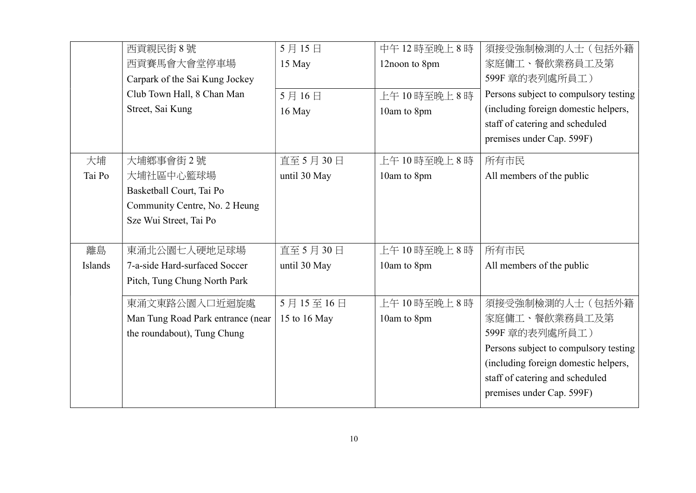|         | 西貢親民街8號                           | 5月15日        | 中午12時至晚上8時    | 須接受強制檢測的人士(包括外籍                       |
|---------|-----------------------------------|--------------|---------------|---------------------------------------|
|         | 西貢賽馬會大會堂停車場                       | 15 May       | 12noon to 8pm | 家庭傭工、餐飲業務員工及第                         |
|         | Carpark of the Sai Kung Jockey    |              |               | 599F 章的表列處所員工)                        |
|         | Club Town Hall, 8 Chan Man        | 5月16日        | 上午10時至晚上8時    | Persons subject to compulsory testing |
|         | Street, Sai Kung                  | 16 May       | 10am to 8pm   | (including foreign domestic helpers,  |
|         |                                   |              |               | staff of catering and scheduled       |
|         |                                   |              |               | premises under Cap. 599F)             |
| 大埔      | 大埔鄉事會街2號                          | 直至 5月 30日    | 上午10時至晚上8時    | 所有市民                                  |
| Tai Po  | 大埔社區中心籃球場                         | until 30 May | 10am to 8pm   | All members of the public             |
|         | Basketball Court, Tai Po          |              |               |                                       |
|         | Community Centre, No. 2 Heung     |              |               |                                       |
|         | Sze Wui Street, Tai Po            |              |               |                                       |
|         |                                   |              |               |                                       |
| 離島      | 東涌北公園七人硬地足球場                      | 直至 5月 30日    | 上午10時至晚上8時    | 所有市民                                  |
| Islands | 7-a-side Hard-surfaced Soccer     | until 30 May | 10am to 8pm   | All members of the public             |
|         | Pitch, Tung Chung North Park      |              |               |                                       |
|         | 東涌文東路公園入口近迴旋處                     | 5月15至16日     | 上午10時至晚上8時    | 須接受強制檢測的人士(包括外籍                       |
|         | Man Tung Road Park entrance (near | 15 to 16 May | 10am to 8pm   | 家庭傭工、餐飲業務員工及第                         |
|         | the roundabout), Tung Chung       |              |               | 599F 章的表列處所員工)                        |
|         |                                   |              |               | Persons subject to compulsory testing |
|         |                                   |              |               | (including foreign domestic helpers,  |
|         |                                   |              |               | staff of catering and scheduled       |
|         |                                   |              |               | premises under Cap. 599F)             |
|         |                                   |              |               |                                       |